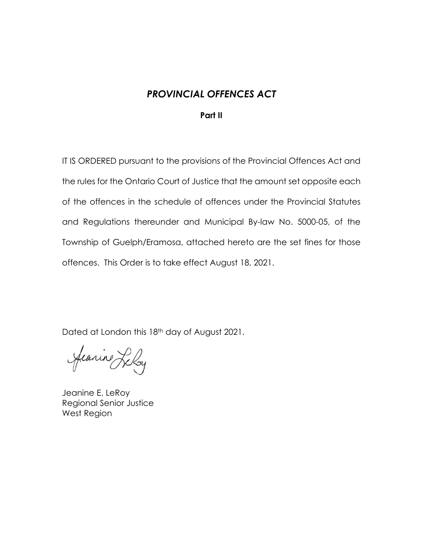# *PROVINCIAL OFFENCES ACT*

## **Part II**

IT IS ORDERED pursuant to the provisions of the Provincial Offences Act and the rules for the Ontario Court of Justice that the amount set opposite each of the offences in the schedule of offences under the Provincial Statutes and Regulations thereunder and Municipal By-law No. 5000-05, of the Township of Guelph/Eramosa, attached hereto are the set fines for those offences. This Order is to take effect August 18, 2021.

Dated at London this 18th day of August 2021.

Jeanine Leloy

Jeanine E. LeRoy Regional Senior Justice West Region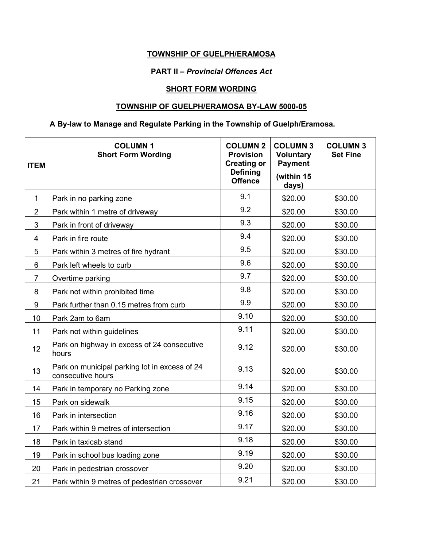# **TOWNSHIP OF GUELPH/ERAMOSA**

#### **PART II –** *Provincial Offences Act*

# **SHORT FORM WORDING**

### **TOWNSHIP OF GUELPH/ERAMOSA BY-LAW 5000-05**

# **A By-law to Manage and Regulate Parking in the Township of Guelph/Eramosa.**

| <b>ITEM</b>    | <b>COLUMN1</b><br><b>Short Form Wording</b>                        | <b>COLUMN 2</b><br><b>Provision</b><br><b>Creating or</b><br><b>Defining</b><br><b>Offence</b> | <b>COLUMN 3</b><br><b>Voluntary</b><br><b>Payment</b><br>(within 15<br>days) | <b>COLUMN 3</b><br><b>Set Fine</b> |
|----------------|--------------------------------------------------------------------|------------------------------------------------------------------------------------------------|------------------------------------------------------------------------------|------------------------------------|
| $\mathbf 1$    | Park in no parking zone                                            | 9.1                                                                                            | \$20.00                                                                      | \$30.00                            |
| $\overline{2}$ | Park within 1 metre of driveway                                    | 9.2                                                                                            | \$20.00                                                                      | \$30.00                            |
| 3              | Park in front of driveway                                          | 9.3                                                                                            | \$20.00                                                                      | \$30.00                            |
| 4              | Park in fire route                                                 | 9.4                                                                                            | \$20.00                                                                      | \$30.00                            |
| 5              | Park within 3 metres of fire hydrant                               | 9.5                                                                                            | \$20.00                                                                      | \$30.00                            |
| 6              | Park left wheels to curb                                           | 9.6                                                                                            | \$20.00                                                                      | \$30.00                            |
| $\overline{7}$ | Overtime parking                                                   | 9.7                                                                                            | \$20.00                                                                      | \$30.00                            |
| 8              | Park not within prohibited time                                    | 9.8                                                                                            | \$20.00                                                                      | \$30.00                            |
| 9              | Park further than 0.15 metres from curb                            | 9.9                                                                                            | \$20.00                                                                      | \$30.00                            |
| 10             | Park 2am to 6am                                                    | 9.10                                                                                           | \$20.00                                                                      | \$30.00                            |
| 11             | Park not within guidelines                                         | 9.11                                                                                           | \$20.00                                                                      | \$30.00                            |
| 12             | Park on highway in excess of 24 consecutive<br>hours               | 9.12                                                                                           | \$20.00                                                                      | \$30.00                            |
| 13             | Park on municipal parking lot in excess of 24<br>consecutive hours | 9.13                                                                                           | \$20.00                                                                      | \$30.00                            |
| 14             | Park in temporary no Parking zone                                  | 9.14                                                                                           | \$20.00                                                                      | \$30.00                            |
| 15             | Park on sidewalk                                                   | 9.15                                                                                           | \$20.00                                                                      | \$30.00                            |
| 16             | Park in intersection                                               | 9.16                                                                                           | \$20.00                                                                      | \$30.00                            |
| 17             | Park within 9 metres of intersection                               | 9.17                                                                                           | \$20.00                                                                      | \$30.00                            |
| 18             | Park in taxicab stand                                              | 9.18                                                                                           | \$20.00                                                                      | \$30.00                            |
| 19             | Park in school bus loading zone                                    | 9.19                                                                                           | \$20.00                                                                      | \$30.00                            |
| 20             | Park in pedestrian crossover                                       | 9.20                                                                                           | \$20.00                                                                      | \$30.00                            |
| 21             | Park within 9 metres of pedestrian crossover                       | 9.21                                                                                           | \$20.00                                                                      | \$30.00                            |